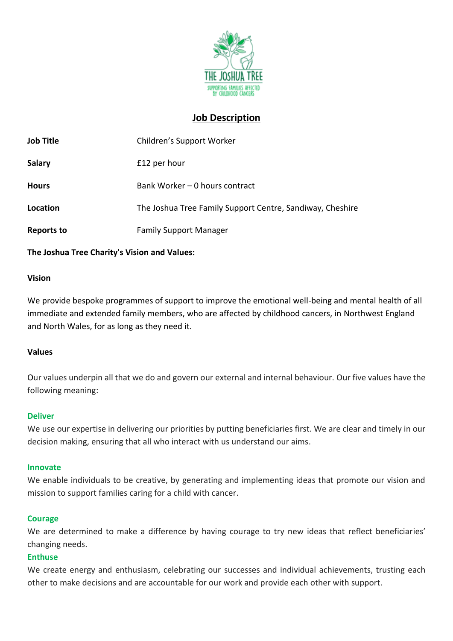

# **Job Description**

| <b>Job Title</b> | Children's Support Worker                                 |
|------------------|-----------------------------------------------------------|
| <b>Salary</b>    | £12 per hour                                              |
| <b>Hours</b>     | Bank Worker - 0 hours contract                            |
| Location         | The Joshua Tree Family Support Centre, Sandiway, Cheshire |
| Reports to       | <b>Family Support Manager</b>                             |

### **The Joshua Tree Charity's Vision and Values:**

#### **Vision**

We provide bespoke programmes of support to improve the emotional well-being and mental health of all immediate and extended family members, who are affected by childhood cancers, in Northwest England and North Wales, for as long as they need it.

### **Values**

Our values underpin all that we do and govern our external and internal behaviour. Our five values have the following meaning:

#### **Deliver**

We use our expertise in delivering our priorities by putting beneficiaries first. We are clear and timely in our decision making, ensuring that all who interact with us understand our aims.

#### **Innovate**

We enable individuals to be creative, by generating and implementing ideas that promote our vision and mission to support families caring for a child with cancer.

### **Courage**

We are determined to make a difference by having courage to try new ideas that reflect beneficiaries' changing needs.

### **Enthuse**

We create energy and enthusiasm, celebrating our successes and individual achievements, trusting each other to make decisions and are accountable for our work and provide each other with support.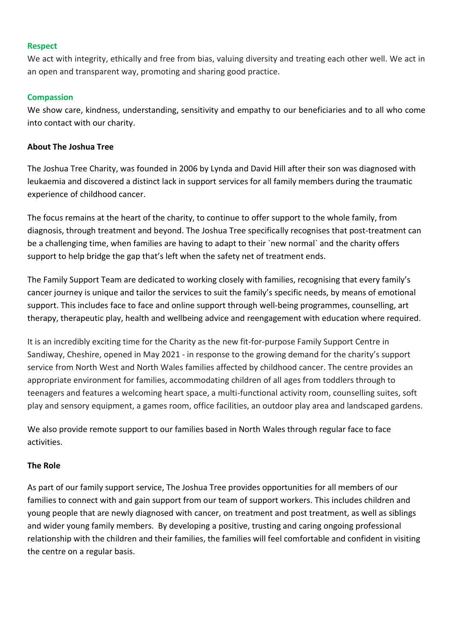#### **Respect**

We act with integrity, ethically and free from bias, valuing diversity and treating each other well. We act in an open and transparent way, promoting and sharing good practice.

### **Compassion**

We show care, kindness, understanding, sensitivity and empathy to our beneficiaries and to all who come into contact with our charity.

### **About The Joshua Tree**

The Joshua Tree Charity, was founded in 2006 by Lynda and David Hill after their son was diagnosed with leukaemia and discovered a distinct lack in support services for all family members during the traumatic experience of childhood cancer.

The focus remains at the heart of the charity, to continue to offer support to the whole family, from diagnosis, through treatment and beyond. The Joshua Tree specifically recognises that post-treatment can be a challenging time, when families are having to adapt to their `new normal` and the charity offers support to help bridge the gap that's left when the safety net of treatment ends.

The Family Support Team are dedicated to working closely with families, recognising that every family's cancer journey is unique and tailor the services to suit the family's specific needs, by means of emotional support. This includes face to face and online support through well-being programmes, counselling, art therapy, therapeutic play, health and wellbeing advice and reengagement with education where required.

It is an incredibly exciting time for the Charity as the new fit-for-purpose Family Support Centre in Sandiway, Cheshire, opened in May 2021 - in response to the growing demand for the charity's support service from North West and North Wales families affected by childhood cancer. The centre provides an appropriate environment for families, accommodating children of all ages from toddlers through to teenagers and features a welcoming heart space, a multi-functional activity room, counselling suites, soft play and sensory equipment, a games room, office facilities, an outdoor play area and landscaped gardens.

We also provide remote support to our families based in North Wales through regular face to face activities.

### **The Role**

As part of our family support service, The Joshua Tree provides opportunities for all members of our families to connect with and gain support from our team of support workers. This includes children and young people that are newly diagnosed with cancer, on treatment and post treatment, as well as siblings and wider young family members. By developing a positive, trusting and caring ongoing professional relationship with the children and their families, the families will feel comfortable and confident in visiting the centre on a regular basis.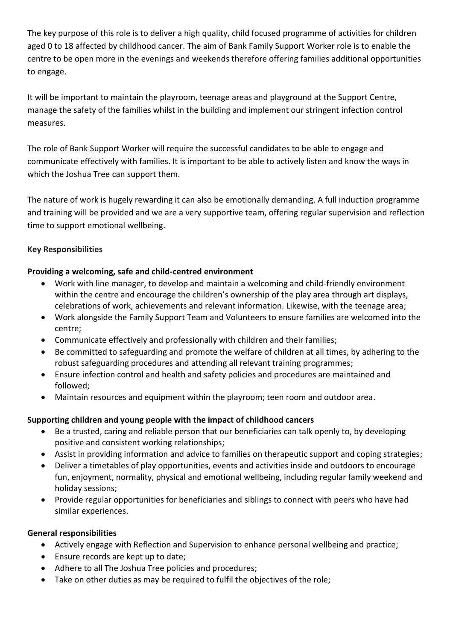The key purpose of this role is to deliver a high quality, child focused programme of activities for children aged 0 to 18 affected by childhood cancer. The aim of Bank Family Support Worker role is to enable the centre to be open more in the evenings and weekends therefore offering families additional opportunities to engage.

It will be important to maintain the playroom, teenage areas and playground at the Support Centre, manage the safety of the families whilst in the building and implement our stringent infection control measures.

The role of Bank Support Worker will require the successful candidates to be able to engage and communicate effectively with families. It is important to be able to actively listen and know the ways in which the Joshua Tree can support them.

The nature of work is hugely rewarding it can also be emotionally demanding. A full induction programme and training will be provided and we are a very supportive team, offering regular supervision and reflection time to support emotional wellbeing.

# **Key Responsibilities**

# **Providing a welcoming, safe and child-centred environment**

- Work with line manager, to develop and maintain a welcoming and child-friendly environment within the centre and encourage the children's ownership of the play area through art displays, celebrations of work, achievements and relevant information. Likewise, with the teenage area;
- Work alongside the Family Support Team and Volunteers to ensure families are welcomed into the centre;
- Communicate effectively and professionally with children and their families;
- Be committed to safeguarding and promote the welfare of children at all times, by adhering to the robust safeguarding procedures and attending all relevant training programmes;
- Ensure infection control and health and safety policies and procedures are maintained and followed;
- Maintain resources and equipment within the playroom; teen room and outdoor area.

### **Supporting children and young people with the impact of childhood cancers**

- Be a trusted, caring and reliable person that our beneficiaries can talk openly to, by developing positive and consistent working relationships;
- Assist in providing information and advice to families on therapeutic support and coping strategies;
- Deliver a timetables of play opportunities, events and activities inside and outdoors to encourage fun, enjoyment, normality, physical and emotional wellbeing, including regular family weekend and holiday sessions;
- Provide regular opportunities for beneficiaries and siblings to connect with peers who have had similar experiences.

### **General responsibilities**

- Actively engage with Reflection and Supervision to enhance personal wellbeing and practice;
- Ensure records are kept up to date;
- Adhere to all The Joshua Tree policies and procedures;
- Take on other duties as may be required to fulfil the objectives of the role;